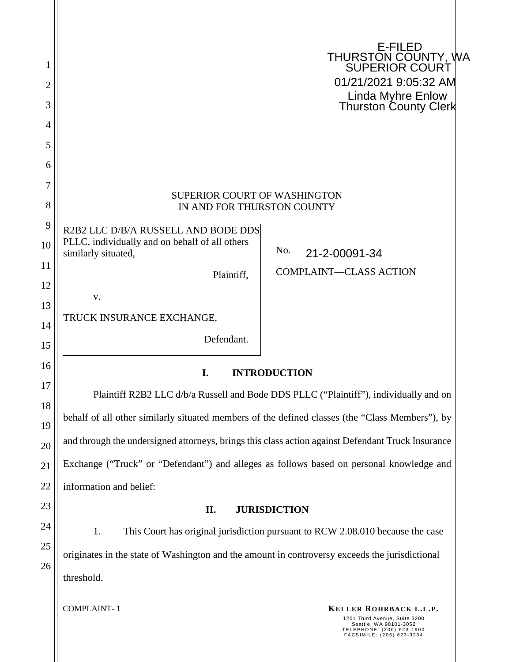|                |                                                                                                              | E-FILED                                                                        |  |
|----------------|--------------------------------------------------------------------------------------------------------------|--------------------------------------------------------------------------------|--|
|                |                                                                                                              | THURSTON COUNTY, WA<br>  SUPERIOR COURT                                        |  |
| $\overline{2}$ |                                                                                                              | 01/21/2021 9:05:32 AM                                                          |  |
| 3              |                                                                                                              | <b>Linda Myhre Enlow</b><br><b>Thurston County Clerk</b>                       |  |
| 4              |                                                                                                              |                                                                                |  |
| 5              |                                                                                                              |                                                                                |  |
| 6              |                                                                                                              |                                                                                |  |
| 7<br>8         | SUPERIOR COURT OF WASHINGTON<br>IN AND FOR THURSTON COUNTY                                                   |                                                                                |  |
| 9              | R2B2 LLC D/B/A RUSSELL AND BODE DDS                                                                          |                                                                                |  |
| 10             | PLLC, individually and on behalf of all others<br>similarly situated,                                        | No.<br>21-2-00091-34                                                           |  |
| 11             | Plaintiff,                                                                                                   | <b>COMPLAINT-CLASS ACTION</b>                                                  |  |
| 12             | V.                                                                                                           |                                                                                |  |
| 13             | TRUCK INSURANCE EXCHANGE,                                                                                    |                                                                                |  |
| 14             | Defendant.                                                                                                   |                                                                                |  |
| 15<br>16       |                                                                                                              |                                                                                |  |
| 17             | I.                                                                                                           | <b>INTRODUCTION</b>                                                            |  |
| 18             | Plaintiff R2B2 LLC d/b/a Russell and Bode DDS PLLC ("Plaintiff"), individually and on                        |                                                                                |  |
| 19             | behalf of all other similarly situated members of the defined classes (the "Class Members"), by              |                                                                                |  |
| 20             | and through the undersigned attorneys, brings this class action against Defendant Truck Insurance            |                                                                                |  |
| 21             | Exchange ("Truck" or "Defendant") and alleges as follows based on personal knowledge and                     |                                                                                |  |
| 22             | information and belief:                                                                                      |                                                                                |  |
| 23             | II.                                                                                                          | <b>JURISDICTION</b>                                                            |  |
| 24             | 1.                                                                                                           | This Court has original jurisdiction pursuant to RCW 2.08.010 because the case |  |
| 25             |                                                                                                              |                                                                                |  |
| 26             | originates in the state of Washington and the amount in controversy exceeds the jurisdictional<br>threshold. |                                                                                |  |
|                |                                                                                                              |                                                                                |  |
|                | <b>COMPLAINT-1</b>                                                                                           | KELLER ROHRBACK L.L.P.<br>$C$ uito                                             |  |

1201 Third Avenue, Suite 3200 Seattle, WA 98101-3052 T E L E P H O N E : ( 2 0 6 ) 6 2 3 - 1 9 0 0 F A C S I M I L E : ( 2 0 6 ) 6 2 3 - 3 3 8 4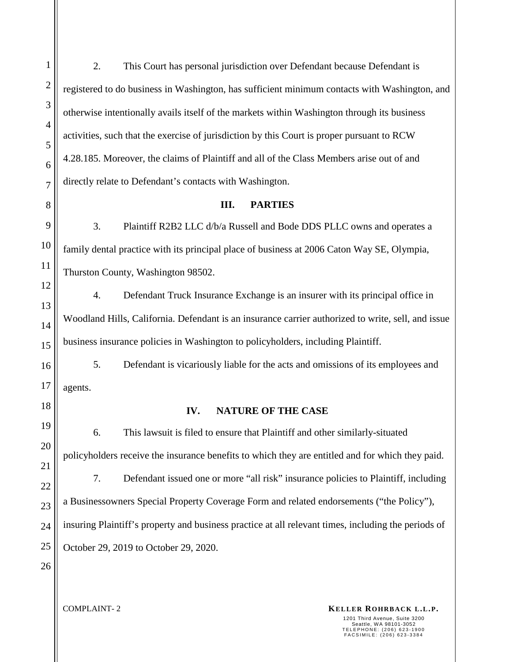2. This Court has personal jurisdiction over Defendant because Defendant is registered to do business in Washington, has sufficient minimum contacts with Washington, and otherwise intentionally avails itself of the markets within Washington through its business activities, such that the exercise of jurisdiction by this Court is proper pursuant to RCW 4.28.185. Moreover, the claims of Plaintiff and all of the Class Members arise out of and directly relate to Defendant's contacts with Washington.

**III. PARTIES** 

3. Plaintiff R2B2 LLC d/b/a Russell and Bode DDS PLLC owns and operates a family dental practice with its principal place of business at 2006 Caton Way SE, Olympia, Thurston County, Washington 98502.

4. Defendant Truck Insurance Exchange is an insurer with its principal office in Woodland Hills, California. Defendant is an insurance carrier authorized to write, sell, and issue business insurance policies in Washington to policyholders, including Plaintiff.

5. Defendant is vicariously liable for the acts and omissions of its employees and agents.

## **IV. NATURE OF THE CASE**

6. This lawsuit is filed to ensure that Plaintiff and other similarly-situated policyholders receive the insurance benefits to which they are entitled and for which they paid. 7. Defendant issued one or more "all risk" insurance policies to Plaintiff, including a Businessowners Special Property Coverage Form and related endorsements ("the Policy"), insuring Plaintiff's property and business practice at all relevant times, including the periods of October 29, 2019 to October 29, 2020.

**KELLER ROHRBACK L.L.P. KELLER ROHRBACK L.L.P.**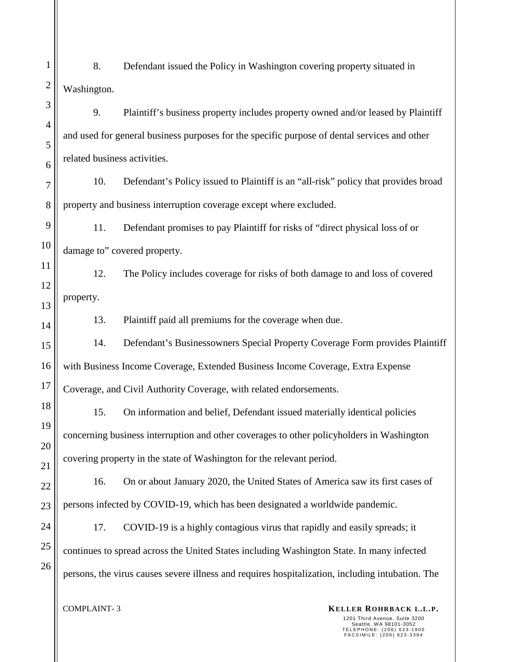8. Defendant issued the Policy in Washington covering property situated in Washington.

9. Plaintiff's business property includes property owned and/or leased by Plaintiff and used for general business purposes for the specific purpose of dental services and other related business activities.

10. Defendant's Policy issued to Plaintiff is an "all-risk" policy that provides broad property and business interruption coverage except where excluded.

11. Defendant promises to pay Plaintiff for risks of "direct physical loss of or damage to" covered property.

12. The Policy includes coverage for risks of both damage to and loss of covered property.

13. Plaintiff paid all premiums for the coverage when due.

14. Defendant's Businessowners Special Property Coverage Form provides Plaintiff with Business Income Coverage, Extended Business Income Coverage, Extra Expense Coverage, and Civil Authority Coverage, with related endorsements.

15. On information and belief, Defendant issued materially identical policies concerning business interruption and other coverages to other policyholders in Washington covering property in the state of Washington for the relevant period.

22 23 16. On or about January 2020, the United States of America saw its first cases of persons infected by COVID-19, which has been designated a worldwide pandemic.

24 25 26 17. COVID-19 is a highly contagious virus that rapidly and easily spreads; it continues to spread across the United States including Washington State. In many infected persons, the virus causes severe illness and requires hospitalization, including intubation. The

1

2

3

4

5

6

7

8

9

10

11

12

13

14

15

16

17

18

19

20

21

**KELLER ROHRBACK L.L.P. KELLER ROHRBACK L.L.P.** 1201 Third Avenue, Suite 3200 Seattle, WA 98101-3052<br>TELEPHONE: (206) 623-1900<br>FACSIMILE: (206) 623-3384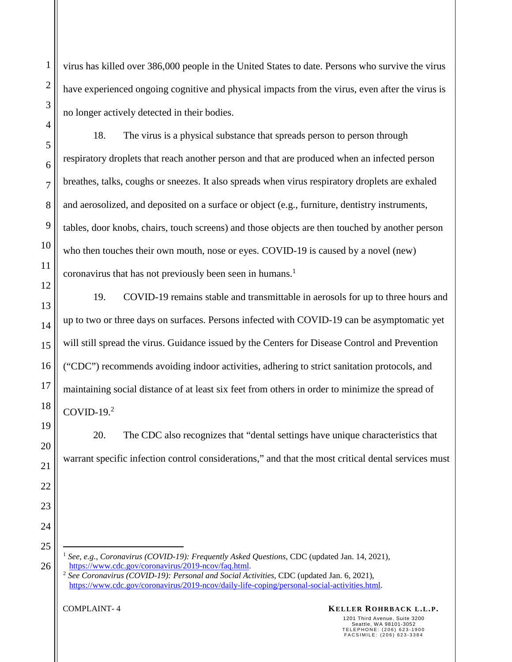virus has killed over 386,000 people in the United States to date. Persons who survive the virus have experienced ongoing cognitive and physical impacts from the virus, even after the virus is no longer actively detected in their bodies.

18. The virus is a physical substance that spreads person to person through respiratory droplets that reach another person and that are produced when an infected person breathes, talks, coughs or sneezes. It also spreads when virus respiratory droplets are exhaled and aerosolized, and deposited on a surface or object (e.g., furniture, dentistry instruments, tables, door knobs, chairs, touch screens) and those objects are then touched by another person who then touches their own mouth, nose or eyes. COVID-19 is caused by a novel (new) coronavirus that has not previously been seen in humans.<sup>1</sup>

19. COVID-19 remains stable and transmittable in aerosols for up to three hours and up to two or three days on surfaces. Persons infected with COVID-19 can be asymptomatic yet will still spread the virus. Guidance issued by the Centers for Disease Control and Prevention ("CDC") recommends avoiding indoor activities, adhering to strict sanitation protocols, and maintaining social distance of at least six feet from others in order to minimize the spread of  $COVID-19.<sup>2</sup>$ 

20. The CDC also recognizes that "dental settings have unique characteristics that warrant specific infection control considerations," and that the most critical dental services must

<sup>1</sup> *See, e.g*., *Coronavirus (COVID-19): Frequently Asked Questions*, CDC (updated Jan. 14, 2021), https://www.cdc.gov/coronavirus/2019-ncov/faq.html.

<sup>2</sup> *See Coronavirus (COVID-19): Personal and Social Activities*, CDC (updated Jan. 6, 2021), https://www.cdc.gov/coronavirus/2019-ncov/daily-life-coping/personal-social-activities.html.

**KELLER ROHRBACK L.L.P. KELLER ROHRBACK L.L.P.**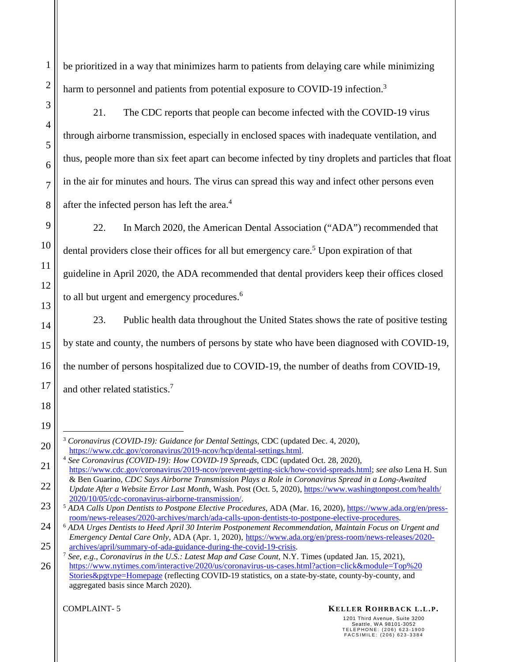1

2

be prioritized in a way that minimizes harm to patients from delaying care while minimizing harm to personnel and patients from potential exposure to COVID-19 infection.<sup>3</sup>

21. The CDC reports that people can become infected with the COVID-19 virus through airborne transmission, especially in enclosed spaces with inadequate ventilation, and thus, people more than six feet apart can become infected by tiny droplets and particles that float in the air for minutes and hours. The virus can spread this way and infect other persons even after the infected person has left the area.<sup>4</sup>

22. In March 2020, the American Dental Association ("ADA") recommended that dental providers close their offices for all but emergency care.<sup>5</sup> Upon expiration of that guideline in April 2020, the ADA recommended that dental providers keep their offices closed to all but urgent and emergency procedures.<sup>6</sup>

23. Public health data throughout the United States shows the rate of positive testing by state and county, the numbers of persons by state who have been diagnosed with COVID-19, the number of persons hospitalized due to COVID-19, the number of deaths from COVID-19, and other related statistics.<sup>7</sup>

## **KELLER ROHRBACK L.L.P. KELLER ROHRBACK L.L.P.**

<sup>3</sup> *Coronavirus (COVID-19): Guidance for Dental Settings*, CDC (updated Dec. 4, 2020), https://www.cdc.gov/coronavirus/2019-ncov/hcp/dental-settings.html.

<sup>4</sup> *See Coronavirus (COVID-19): How COVID-19 Spreads*, CDC (updated Oct. 28, 2020), https://www.cdc.gov/coronavirus/2019-ncov/prevent-getting-sick/how-covid-spreads.html; *see also* Lena H. Sun & Ben Guarino, *CDC Says Airborne Transmission Plays a Role in Coronavirus Spread in a Long-Awaited* 

*Update After a Website Error Last Month*, Wash. Post (Oct. 5, 2020), https://www.washingtonpost.com/health/ 2020/10/05/cdc-coronavirus-airborne-transmission/.

<sup>5</sup> *ADA Calls Upon Dentists to Postpone Elective Procedures*, ADA (Mar. 16, 2020), https://www.ada.org/en/pressroom/news-releases/2020-archives/march/ada-calls-upon-dentists-to-postpone-elective-procedures.

<sup>6</sup> *ADA Urges Dentists to Heed April 30 Interim Postponement Recommendation, Maintain Focus on Urgent and Emergency Dental Care Only*, ADA (Apr. 1, 2020), https://www.ada.org/en/press-room/news-releases/2020 archives/april/summary-of-ada-guidance-during-the-covid-19-crisis.

<sup>7</sup> *See, e.g*., *Coronavirus in the U.S.: Latest Map and Case Count*, N.Y. Times (updated Jan. 15, 2021), https://www.nytimes.com/interactive/2020/us/coronavirus-us-cases.html?action=click&module=Top%20 Stories&pgtype=Homepage (reflecting COVID-19 statistics, on a state-by-state, county-by-county, and aggregated basis since March 2020).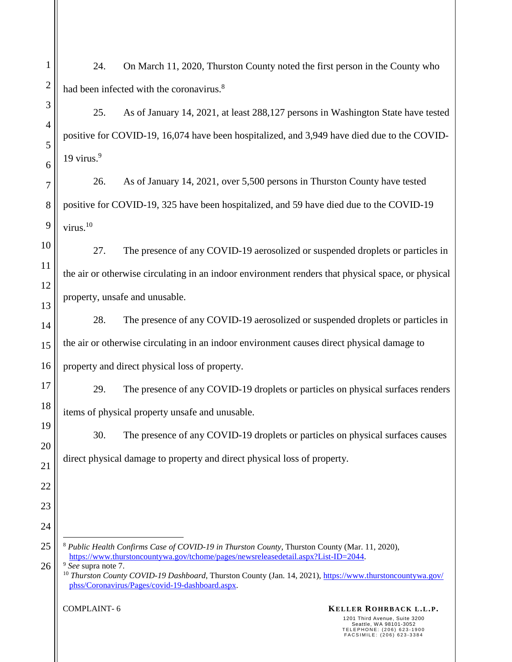24. On March 11, 2020, Thurston County noted the first person in the County who had been infected with the coronavirus.<sup>8</sup>

25. As of January 14, 2021, at least 288,127 persons in Washington State have tested positive for COVID-19, 16,074 have been hospitalized, and 3,949 have died due to the COVID- $19 \text{ virus}$ <sup>9</sup>

26. As of January 14, 2021, over 5,500 persons in Thurston County have tested positive for COVID-19, 325 have been hospitalized, and 59 have died due to the COVID-19 virus.<sup>10</sup>

27. The presence of any COVID-19 aerosolized or suspended droplets or particles in the air or otherwise circulating in an indoor environment renders that physical space, or physical property, unsafe and unusable.

28. The presence of any COVID-19 aerosolized or suspended droplets or particles in the air or otherwise circulating in an indoor environment causes direct physical damage to property and direct physical loss of property.

29. The presence of any COVID-19 droplets or particles on physical surfaces renders items of physical property unsafe and unusable.

30. The presence of any COVID-19 droplets or particles on physical surfaces causes direct physical damage to property and direct physical loss of property.

25 26 <sup>8</sup> *Public Health Confirms Case of COVID-19 in Thurston County*, Thurston County (Mar. 11, 2020), https://www.thurstoncountywa.gov/tchome/pages/newsreleasedetail.aspx?List-ID=2044. <sup>9</sup> *See* supra note 7.

1

2

3

4

5

6

7

8

9

10

11

12

13

14

15

16

17

18

19

20

21

22

23

24

**KELLER ROHRBACK L.L.P. KELLER ROHRBACK L.L.P.** 1201 Third Avenue, Suite 3200 Seattle, WA 98101-3052<br>TELEPHONE: (206) 623-1900<br>FACSIMILE: (206) 623-3384

<sup>&</sup>lt;sup>10</sup> *Thurston County COVID-19 Dashboard*, Thurston County (Jan. 14, 2021), https://www.thurstoncountywa.gov/ phss/Coronavirus/Pages/covid-19-dashboard.aspx.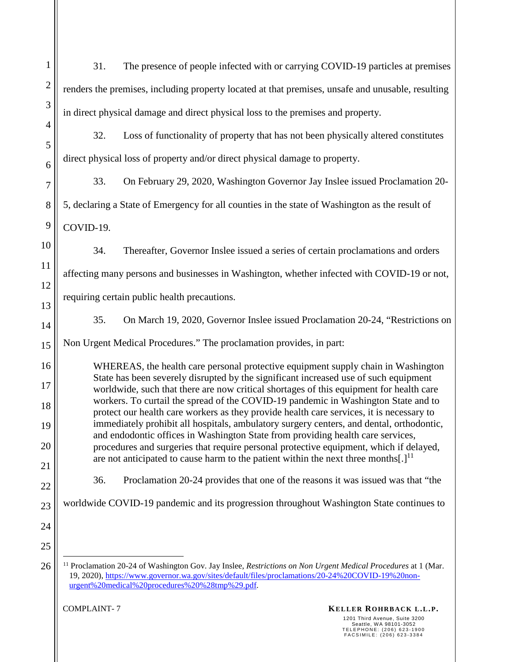| 1              | 31.<br>The presence of people infected with or carrying COVID-19 particles at premises                                                                                                                                                                                                                                                                                                                                                                                                                                                           |  |  |  |
|----------------|--------------------------------------------------------------------------------------------------------------------------------------------------------------------------------------------------------------------------------------------------------------------------------------------------------------------------------------------------------------------------------------------------------------------------------------------------------------------------------------------------------------------------------------------------|--|--|--|
| $\overline{2}$ | renders the premises, including property located at that premises, unsafe and unusable, resulting                                                                                                                                                                                                                                                                                                                                                                                                                                                |  |  |  |
| 3              | in direct physical damage and direct physical loss to the premises and property.                                                                                                                                                                                                                                                                                                                                                                                                                                                                 |  |  |  |
| 4<br>5         | 32.<br>Loss of functionality of property that has not been physically altered constitutes                                                                                                                                                                                                                                                                                                                                                                                                                                                        |  |  |  |
| 6              | direct physical loss of property and/or direct physical damage to property.                                                                                                                                                                                                                                                                                                                                                                                                                                                                      |  |  |  |
| 7              | 33.<br>On February 29, 2020, Washington Governor Jay Inslee issued Proclamation 20-                                                                                                                                                                                                                                                                                                                                                                                                                                                              |  |  |  |
| 8              | 5, declaring a State of Emergency for all counties in the state of Washington as the result of                                                                                                                                                                                                                                                                                                                                                                                                                                                   |  |  |  |
| 9              | COVID-19.                                                                                                                                                                                                                                                                                                                                                                                                                                                                                                                                        |  |  |  |
| 10             | 34.<br>Thereafter, Governor Inslee issued a series of certain proclamations and orders                                                                                                                                                                                                                                                                                                                                                                                                                                                           |  |  |  |
| 11             | affecting many persons and businesses in Washington, whether infected with COVID-19 or not,                                                                                                                                                                                                                                                                                                                                                                                                                                                      |  |  |  |
| 12             | requiring certain public health precautions.                                                                                                                                                                                                                                                                                                                                                                                                                                                                                                     |  |  |  |
| 13             |                                                                                                                                                                                                                                                                                                                                                                                                                                                                                                                                                  |  |  |  |
| 14             | 35.<br>On March 19, 2020, Governor Inslee issued Proclamation 20-24, "Restrictions on                                                                                                                                                                                                                                                                                                                                                                                                                                                            |  |  |  |
| 15             | Non Urgent Medical Procedures." The proclamation provides, in part:                                                                                                                                                                                                                                                                                                                                                                                                                                                                              |  |  |  |
| 16             | WHEREAS, the health care personal protective equipment supply chain in Washington                                                                                                                                                                                                                                                                                                                                                                                                                                                                |  |  |  |
| 17             | State has been severely disrupted by the significant increased use of such equipment<br>worldwide, such that there are now critical shortages of this equipment for health care<br>workers. To curtail the spread of the COVID-19 pandemic in Washington State and to<br>protect our health care workers as they provide health care services, it is necessary to<br>immediately prohibit all hospitals, ambulatory surgery centers, and dental, orthodontic,<br>and endodontic offices in Washington State from providing health care services, |  |  |  |
| 18             |                                                                                                                                                                                                                                                                                                                                                                                                                                                                                                                                                  |  |  |  |
| 19             |                                                                                                                                                                                                                                                                                                                                                                                                                                                                                                                                                  |  |  |  |
| 20             | procedures and surgeries that require personal protective equipment, which if delayed,<br>are not anticipated to cause harm to the patient within the next three months[.] <sup>11</sup>                                                                                                                                                                                                                                                                                                                                                         |  |  |  |
| 21             | 36.<br>Proclamation 20-24 provides that one of the reasons it was issued was that "the                                                                                                                                                                                                                                                                                                                                                                                                                                                           |  |  |  |
| 22<br>23       | worldwide COVID-19 pandemic and its progression throughout Washington State continues to                                                                                                                                                                                                                                                                                                                                                                                                                                                         |  |  |  |
| 24             |                                                                                                                                                                                                                                                                                                                                                                                                                                                                                                                                                  |  |  |  |
| 25             |                                                                                                                                                                                                                                                                                                                                                                                                                                                                                                                                                  |  |  |  |
| 26             | <sup>11</sup> Proclamation 20-24 of Washington Gov. Jay Inslee, Restrictions on Non Urgent Medical Procedures at 1 (Mar.<br>19, 2020), https://www.governor.wa.gov/sites/default/files/proclamations/20-24%20COVID-19%20non-<br>urgent%20medical%20procedures%20%28tmp%29.pdf.                                                                                                                                                                                                                                                                   |  |  |  |
|                | <b>COMPLAINT-7</b><br>KELLER ROHRBACK L.L.P.                                                                                                                                                                                                                                                                                                                                                                                                                                                                                                     |  |  |  |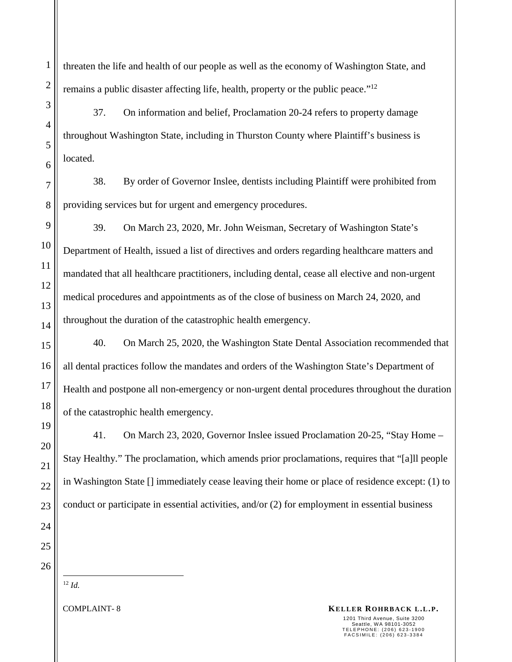1

threaten the life and health of our people as well as the economy of Washington State, and remains a public disaster affecting life, health, property or the public peace."<sup>12</sup>

37. On information and belief, Proclamation 20-24 refers to property damage throughout Washington State, including in Thurston County where Plaintiff's business is located.

38. By order of Governor Inslee, dentists including Plaintiff were prohibited from providing services but for urgent and emergency procedures.

39. On March 23, 2020, Mr. John Weisman, Secretary of Washington State's Department of Health, issued a list of directives and orders regarding healthcare matters and mandated that all healthcare practitioners, including dental, cease all elective and non-urgent medical procedures and appointments as of the close of business on March 24, 2020, and throughout the duration of the catastrophic health emergency.

40. On March 25, 2020, the Washington State Dental Association recommended that all dental practices follow the mandates and orders of the Washington State's Department of Health and postpone all non-emergency or non-urgent dental procedures throughout the duration of the catastrophic health emergency.

41. On March 23, 2020, Governor Inslee issued Proclamation 20-25, "Stay Home – Stay Healthy." The proclamation, which amends prior proclamations, requires that "[a]ll people in Washington State [] immediately cease leaving their home or place of residence except: (1) to conduct or participate in essential activities, and/or (2) for employment in essential business

<sup>12</sup> *Id.*

**KELLER ROHRBACK L.L.P. KELLER ROHRBACK L.L.P.**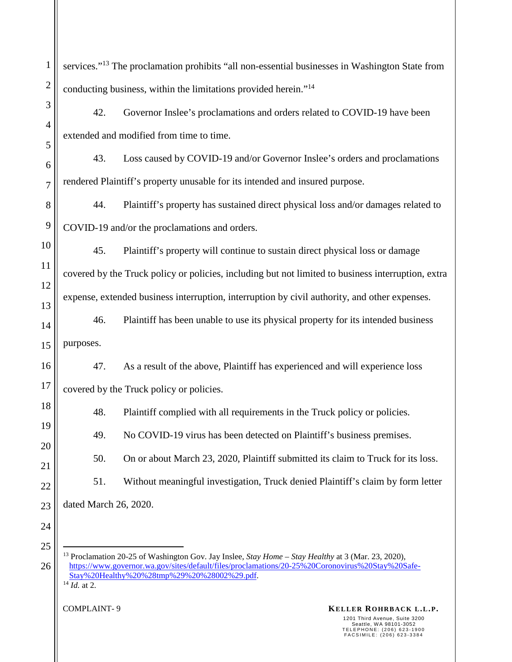1 2 3 4 5 6 7 8 9 10 11 12 13 14 15 16 17 18 19 20 21 22 23 24 25 26 services."<sup>13</sup> The proclamation prohibits "all non-essential businesses in Washington State from conducting business, within the limitations provided herein."<sup>14</sup> 42. Governor Inslee's proclamations and orders related to COVID-19 have been extended and modified from time to time. 43. Loss caused by COVID-19 and/or Governor Inslee's orders and proclamations rendered Plaintiff's property unusable for its intended and insured purpose. 44. Plaintiff's property has sustained direct physical loss and/or damages related to COVID-19 and/or the proclamations and orders. 45. Plaintiff's property will continue to sustain direct physical loss or damage covered by the Truck policy or policies, including but not limited to business interruption, extra expense, extended business interruption, interruption by civil authority, and other expenses. 46. Plaintiff has been unable to use its physical property for its intended business purposes. 47. As a result of the above, Plaintiff has experienced and will experience loss covered by the Truck policy or policies. 48. Plaintiff complied with all requirements in the Truck policy or policies. 49. No COVID-19 virus has been detected on Plaintiff's business premises. 50. On or about March 23, 2020, Plaintiff submitted its claim to Truck for its loss. 51. Without meaningful investigation, Truck denied Plaintiff's claim by form letter dated March 26, 2020. <sup>13</sup> Proclamation 20-25 of Washington Gov. Jay Inslee, *Stay Home – Stay Healthy* at 3 (Mar. 23, 2020), https://www.governor.wa.gov/sites/default/files/proclamations/20-25%20Coronovirus%20Stay%20Safe-Stay%20Healthy%20%28tmp%29%20%28002%29.pdf.  $\overline{14}$  *Id.* at 2.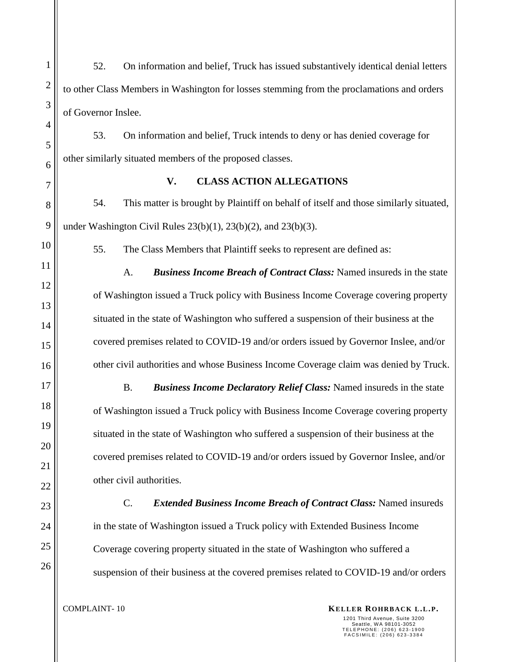1 2 3 4 5 6 7 8 9 10 11 12 13 14 15 16 17 18 19 20 21 22 23 24 25 26 52. On information and belief, Truck has issued substantively identical denial letters to other Class Members in Washington for losses stemming from the proclamations and orders of Governor Inslee. 53. On information and belief, Truck intends to deny or has denied coverage for other similarly situated members of the proposed classes. **V. CLASS ACTION ALLEGATIONS**  54. This matter is brought by Plaintiff on behalf of itself and those similarly situated, under Washington Civil Rules  $23(b)(1)$ ,  $23(b)(2)$ , and  $23(b)(3)$ . 55. The Class Members that Plaintiff seeks to represent are defined as: A. *Business Income Breach of Contract Class:* Named insureds in the state of Washington issued a Truck policy with Business Income Coverage covering property situated in the state of Washington who suffered a suspension of their business at the covered premises related to COVID-19 and/or orders issued by Governor Inslee, and/or other civil authorities and whose Business Income Coverage claim was denied by Truck. B. *Business Income Declaratory Relief Class:* Named insureds in the state of Washington issued a Truck policy with Business Income Coverage covering property situated in the state of Washington who suffered a suspension of their business at the covered premises related to COVID-19 and/or orders issued by Governor Inslee, and/or other civil authorities. C. *Extended Business Income Breach of Contract Class:* Named insureds in the state of Washington issued a Truck policy with Extended Business Income Coverage covering property situated in the state of Washington who suffered a suspension of their business at the covered premises related to COVID-19 and/or orders

**KELLER ROHRBACK L.L.P. KELLER ROHRBACK L.L.P.**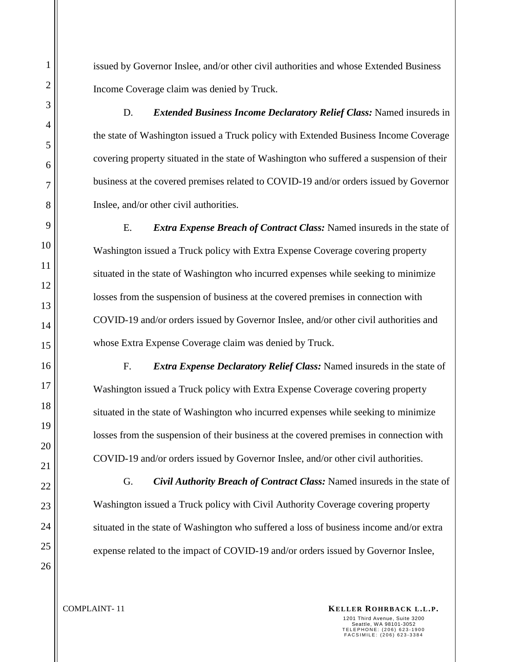issued by Governor Inslee, and/or other civil authorities and whose Extended Business Income Coverage claim was denied by Truck.

D. *Extended Business Income Declaratory Relief Class:* Named insureds in the state of Washington issued a Truck policy with Extended Business Income Coverage covering property situated in the state of Washington who suffered a suspension of their business at the covered premises related to COVID-19 and/or orders issued by Governor Inslee, and/or other civil authorities.

E. *Extra Expense Breach of Contract Class:* Named insureds in the state of Washington issued a Truck policy with Extra Expense Coverage covering property situated in the state of Washington who incurred expenses while seeking to minimize losses from the suspension of business at the covered premises in connection with COVID-19 and/or orders issued by Governor Inslee, and/or other civil authorities and whose Extra Expense Coverage claim was denied by Truck.

F. *Extra Expense Declaratory Relief Class:* Named insureds in the state of Washington issued a Truck policy with Extra Expense Coverage covering property situated in the state of Washington who incurred expenses while seeking to minimize losses from the suspension of their business at the covered premises in connection with COVID-19 and/or orders issued by Governor Inslee, and/or other civil authorities.

G. *Civil Authority Breach of Contract Class:* Named insureds in the state of Washington issued a Truck policy with Civil Authority Coverage covering property situated in the state of Washington who suffered a loss of business income and/or extra expense related to the impact of COVID-19 and/or orders issued by Governor Inslee,

**KELLER ROHRBACK L.L.P. KELLER ROHRBACK L.L.P.**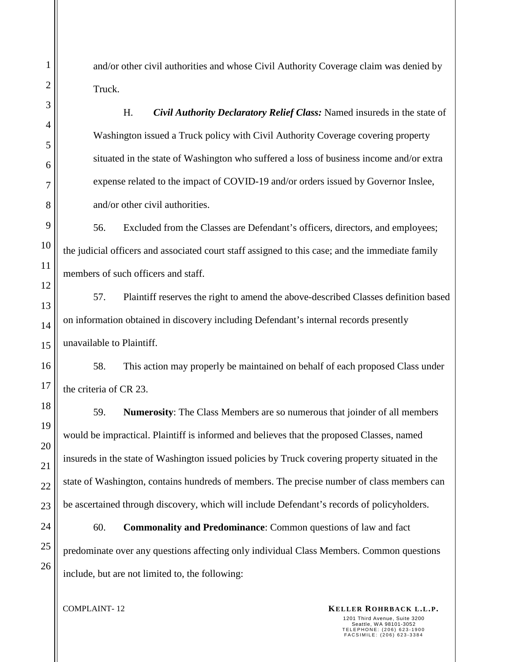and/or other civil authorities and whose Civil Authority Coverage claim was denied by Truck.

H. *Civil Authority Declaratory Relief Class:* Named insureds in the state of Washington issued a Truck policy with Civil Authority Coverage covering property situated in the state of Washington who suffered a loss of business income and/or extra expense related to the impact of COVID-19 and/or orders issued by Governor Inslee, and/or other civil authorities.

56. Excluded from the Classes are Defendant's officers, directors, and employees; the judicial officers and associated court staff assigned to this case; and the immediate family members of such officers and staff.

57. Plaintiff reserves the right to amend the above-described Classes definition based on information obtained in discovery including Defendant's internal records presently unavailable to Plaintiff.

58. This action may properly be maintained on behalf of each proposed Class under the criteria of CR 23.

59. **Numerosity**: The Class Members are so numerous that joinder of all members would be impractical. Plaintiff is informed and believes that the proposed Classes, named insureds in the state of Washington issued policies by Truck covering property situated in the state of Washington, contains hundreds of members. The precise number of class members can be ascertained through discovery, which will include Defendant's records of policyholders.

60. **Commonality and Predominance**: Common questions of law and fact predominate over any questions affecting only individual Class Members. Common questions include, but are not limited to, the following:

**KELLER ROHRBACK L.L.P. KELLER ROHRBACK L.L.P.**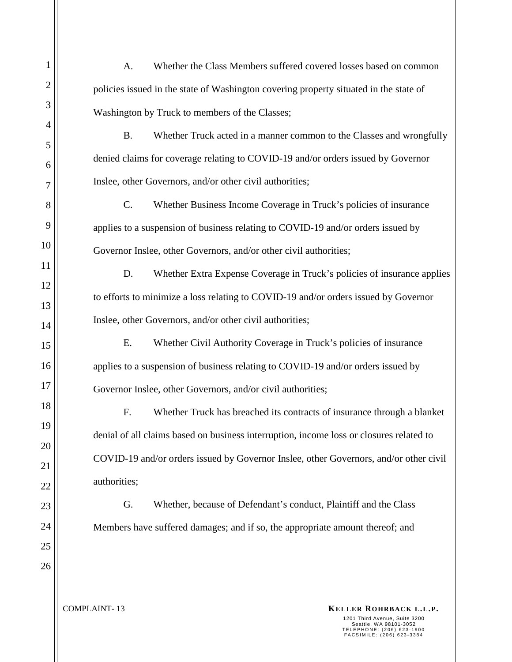B. Whether Truck acted in a manner common to the Classes and wrongfully denied claims for coverage relating to COVID-19 and/or orders issued by Governor Inslee, other Governors, and/or other civil authorities;

C. Whether Business Income Coverage in Truck's policies of insurance applies to a suspension of business relating to COVID-19 and/or orders issued by Governor Inslee, other Governors, and/or other civil authorities;

D. Whether Extra Expense Coverage in Truck's policies of insurance applies to efforts to minimize a loss relating to COVID-19 and/or orders issued by Governor Inslee, other Governors, and/or other civil authorities;

E. Whether Civil Authority Coverage in Truck's policies of insurance applies to a suspension of business relating to COVID-19 and/or orders issued by Governor Inslee, other Governors, and/or civil authorities;

F. Whether Truck has breached its contracts of insurance through a blanket denial of all claims based on business interruption, income loss or closures related to COVID-19 and/or orders issued by Governor Inslee, other Governors, and/or other civil authorities;

G. Whether, because of Defendant's conduct, Plaintiff and the Class Members have suffered damages; and if so, the appropriate amount thereof; and

**KELLER ROHRBACK L.L.P. KELLER ROHRBACK L.L.P.** 1201 Third Avenue, Suite 3200 Seattle, WA 98101-3052<br>TELEPHONE: (206) 623-1900<br>FACSIMILE: (206) 623-3384

1

2

3

4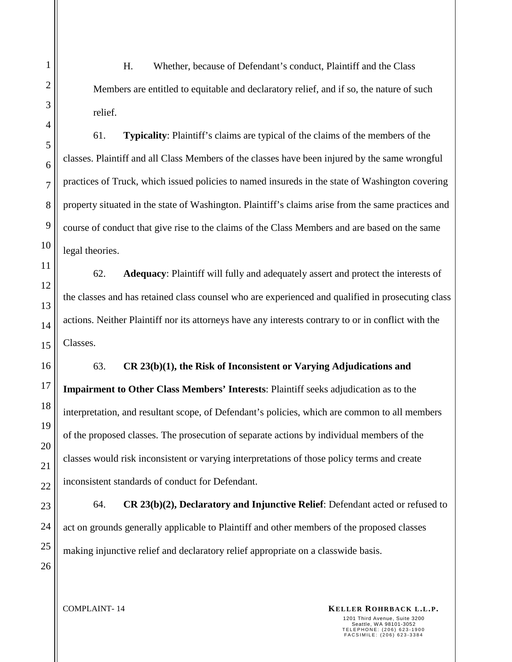H. Whether, because of Defendant's conduct, Plaintiff and the Class Members are entitled to equitable and declaratory relief, and if so, the nature of such relief.

61. **Typicality**: Plaintiff's claims are typical of the claims of the members of the classes. Plaintiff and all Class Members of the classes have been injured by the same wrongful practices of Truck, which issued policies to named insureds in the state of Washington covering property situated in the state of Washington. Plaintiff's claims arise from the same practices and course of conduct that give rise to the claims of the Class Members and are based on the same legal theories.

62. **Adequacy**: Plaintiff will fully and adequately assert and protect the interests of the classes and has retained class counsel who are experienced and qualified in prosecuting class actions. Neither Plaintiff nor its attorneys have any interests contrary to or in conflict with the Classes.

63. **CR 23(b)(1), the Risk of Inconsistent or Varying Adjudications and Impairment to Other Class Members' Interests**: Plaintiff seeks adjudication as to the interpretation, and resultant scope, of Defendant's policies, which are common to all members of the proposed classes. The prosecution of separate actions by individual members of the classes would risk inconsistent or varying interpretations of those policy terms and create inconsistent standards of conduct for Defendant.

64. **CR 23(b)(2), Declaratory and Injunctive Relief**: Defendant acted or refused to act on grounds generally applicable to Plaintiff and other members of the proposed classes making injunctive relief and declaratory relief appropriate on a classwide basis.

**KELLER ROHRBACK L.L.P. KELLER ROHRBACK L.L.P.**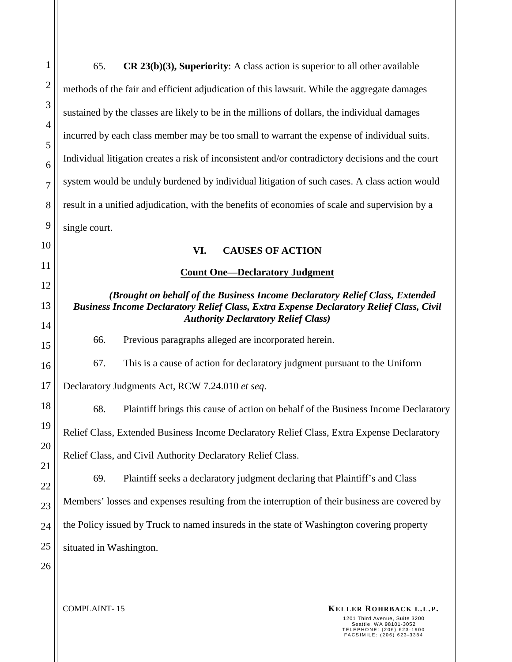| $\mathbf{1}$   | 65.<br>$CR$ 23(b)(3), Superiority: A class action is superior to all other available                                                                                                                                         |  |  |  |
|----------------|------------------------------------------------------------------------------------------------------------------------------------------------------------------------------------------------------------------------------|--|--|--|
| $\overline{2}$ | methods of the fair and efficient adjudication of this lawsuit. While the aggregate damages                                                                                                                                  |  |  |  |
| 3              | sustained by the classes are likely to be in the millions of dollars, the individual damages                                                                                                                                 |  |  |  |
| $\overline{4}$ | incurred by each class member may be too small to warrant the expense of individual suits.                                                                                                                                   |  |  |  |
| 5<br>6         | Individual litigation creates a risk of inconsistent and/or contradictory decisions and the court                                                                                                                            |  |  |  |
| $\overline{7}$ | system would be unduly burdened by individual litigation of such cases. A class action would                                                                                                                                 |  |  |  |
| 8              | result in a unified adjudication, with the benefits of economies of scale and supervision by a                                                                                                                               |  |  |  |
| 9              | single court.                                                                                                                                                                                                                |  |  |  |
| 10             | VI.<br><b>CAUSES OF ACTION</b>                                                                                                                                                                                               |  |  |  |
| 11             | <b>Count One-Declaratory Judgment</b>                                                                                                                                                                                        |  |  |  |
| 12             | (Brought on behalf of the Business Income Declaratory Relief Class, Extended<br><b>Business Income Declaratory Relief Class, Extra Expense Declaratory Relief Class, Civil</b><br><b>Authority Declaratory Relief Class)</b> |  |  |  |
| 13             |                                                                                                                                                                                                                              |  |  |  |
| 14<br>15       | Previous paragraphs alleged are incorporated herein.<br>66.                                                                                                                                                                  |  |  |  |
| 16             | 67.<br>This is a cause of action for declaratory judgment pursuant to the Uniform                                                                                                                                            |  |  |  |
| 17             | Declaratory Judgments Act, RCW 7.24.010 et seq.                                                                                                                                                                              |  |  |  |
| 18             | 68.<br>Plaintiff brings this cause of action on behalf of the Business Income Declaratory                                                                                                                                    |  |  |  |
| 19             | Relief Class, Extended Business Income Declaratory Relief Class, Extra Expense Declaratory                                                                                                                                   |  |  |  |
| 20             | Relief Class, and Civil Authority Declaratory Relief Class.                                                                                                                                                                  |  |  |  |
| 21             | Plaintiff seeks a declaratory judgment declaring that Plaintiff's and Class<br>69.                                                                                                                                           |  |  |  |
| 22<br>23       | Members' losses and expenses resulting from the interruption of their business are covered by                                                                                                                                |  |  |  |
| 24             | the Policy issued by Truck to named insureds in the state of Washington covering property                                                                                                                                    |  |  |  |
| 25             | situated in Washington.                                                                                                                                                                                                      |  |  |  |
| 26             |                                                                                                                                                                                                                              |  |  |  |
|                |                                                                                                                                                                                                                              |  |  |  |
|                | <b>COMPLAINT-15</b><br>KELLER ROHRBACK L.L.P.<br>1201 Third Avenue, Suite 3200<br>Seattle, WA 98101-3052<br>TELEPHONE: (206) 623-1900<br>FACSIMILE: (206) 623-3384                                                           |  |  |  |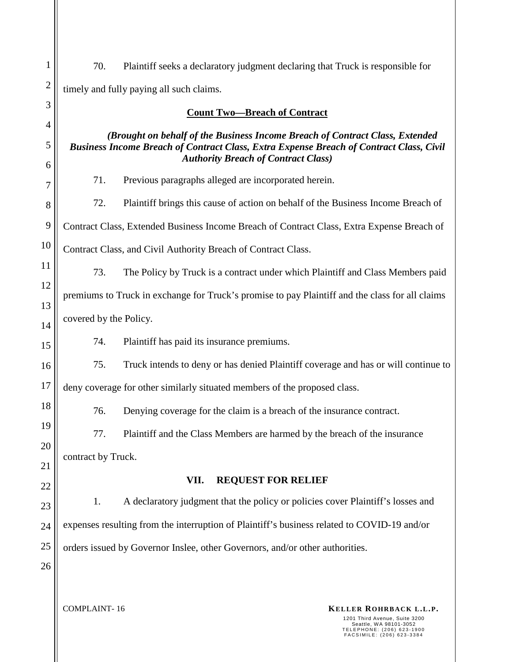| $\mathbf{1}$   | 70.                                                                                                                                   | Plaintiff seeks a declaratory judgment declaring that Truck is responsible for     |  |  |
|----------------|---------------------------------------------------------------------------------------------------------------------------------------|------------------------------------------------------------------------------------|--|--|
| $\overline{2}$ | timely and fully paying all such claims.                                                                                              |                                                                                    |  |  |
| 3              | <b>Count Two-Breach of Contract</b>                                                                                                   |                                                                                    |  |  |
| $\overline{4}$ |                                                                                                                                       | (Brought on behalf of the Business Income Breach of Contract Class, Extended       |  |  |
| 5<br>6         | Business Income Breach of Contract Class, Extra Expense Breach of Contract Class, Civil<br><b>Authority Breach of Contract Class)</b> |                                                                                    |  |  |
| 7              | 71.                                                                                                                                   | Previous paragraphs alleged are incorporated herein.                               |  |  |
| 8              | 72.                                                                                                                                   | Plaintiff brings this cause of action on behalf of the Business Income Breach of   |  |  |
| 9              | Contract Class, Extended Business Income Breach of Contract Class, Extra Expense Breach of                                            |                                                                                    |  |  |
| 10             | Contract Class, and Civil Authority Breach of Contract Class.                                                                         |                                                                                    |  |  |
| 11             | 73.                                                                                                                                   | The Policy by Truck is a contract under which Plaintiff and Class Members paid     |  |  |
| 12<br>13       | premiums to Truck in exchange for Truck's promise to pay Plaintiff and the class for all claims                                       |                                                                                    |  |  |
| 14             | covered by the Policy.                                                                                                                |                                                                                    |  |  |
| 15             | 74.                                                                                                                                   | Plaintiff has paid its insurance premiums.                                         |  |  |
| 16             | 75.                                                                                                                                   | Truck intends to deny or has denied Plaintiff coverage and has or will continue to |  |  |
| 17             | deny coverage for other similarly situated members of the proposed class.                                                             |                                                                                    |  |  |
| 18             | 76.                                                                                                                                   | Denying coverage for the claim is a breach of the insurance contract.              |  |  |
| 19             | 77.                                                                                                                                   | Plaintiff and the Class Members are harmed by the breach of the insurance          |  |  |
| 20             | contract by Truck.                                                                                                                    |                                                                                    |  |  |
| 21<br>22       | <b>REQUEST FOR RELIEF</b><br>VII.                                                                                                     |                                                                                    |  |  |
| 23             | 1.                                                                                                                                    | A declaratory judgment that the policy or policies cover Plaintiff's losses and    |  |  |
| 24             | expenses resulting from the interruption of Plaintiff's business related to COVID-19 and/or                                           |                                                                                    |  |  |
| 25             | orders issued by Governor Inslee, other Governors, and/or other authorities.                                                          |                                                                                    |  |  |
| 26             |                                                                                                                                       |                                                                                    |  |  |
|                |                                                                                                                                       |                                                                                    |  |  |

**KELLER ROHRBACK L.L.P. KELLER ROHRBACK L.L.P.** 

1201 Third Avenue, Suite 3200 Seattle, WA 98101-3052 T E L E P H O N E : ( 2 0 6 ) 6 2 3 - 1 9 0 0 F A C S I M I L E : ( 2 0 6 ) 6 2 3 - 3 3 8 4